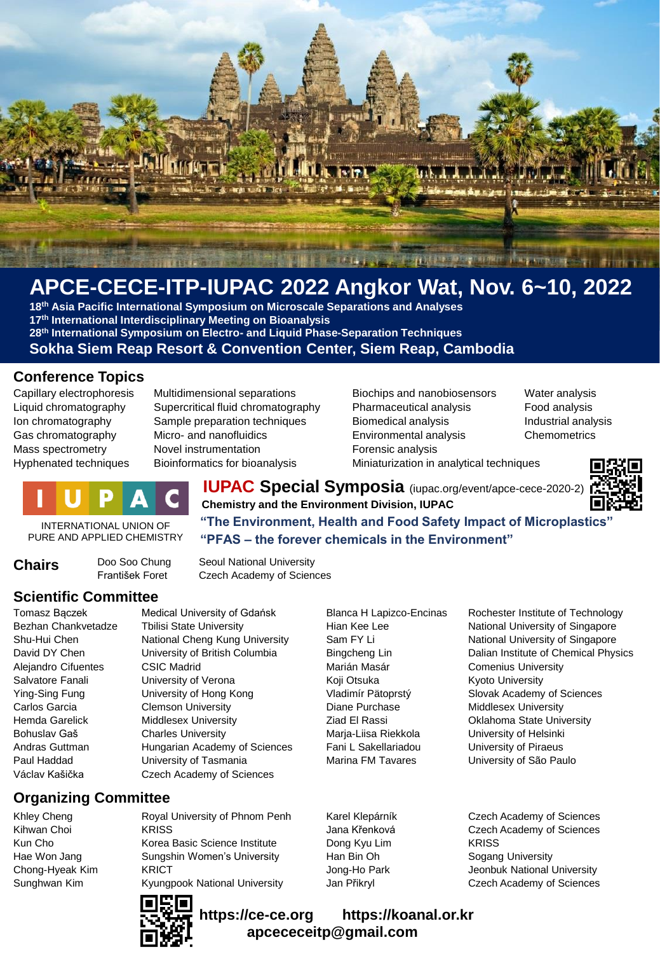

# **APCE-CECE-ITP-IUPAC 2022 Angkor Wat, Nov. 6~10, 2022**

**th Asia Pacific International Symposium on Microscale Separations and Analyses th International Interdisciplinary Meeting on Bioanalysis th International Symposium on Electro- and Liquid Phase-Separation Techniques Sokha Siem Reap Resort & Convention Center, Siem Reap, Cambodia**

### **Conference Topics**

Capillary electrophoresis Multidimensional separations Biochips and nanobiosensors Water analysis Liquid chromatography Supercritical fluid chromatography Pharmaceutical analysis Food analysis Ion chromatography Sample preparation techniques Biomedical analysis Industrial analysis Gas chromatography Micro- and nanofluidics Environmental analysis Chemometrics Mass spectrometry Movel instrumentation Forensic analysis Hyphenated techniques Bioinformatics for bioanalysis Miniaturization in analytical techniques



**IUPAC Special Symposia** (iupac.org/event/apce-cece-2020-2) **Chemistry and the Environment Division, IUPAC "The Environment, Health and Food Safety Impact of Microplastics"**

**"PFAS – the forever chemicals in the Environment"**

INTERNATIONAL UNION OF PURE AND APPLIED CHEMISTRY

**Chairs** Doo Soo Chung Seoul National University<br>František Foret Czech Academy of Scienc Czech Academy of Sciences

### **Scientific Committee**

Bezhan Chankvetadze Tbilisi State University **Hian Kee Lee National University of Singapore** Shu-Hui Chen **National Cheng Kung University** Sam FY Li National University of Singapore Alejandro Cifuentes CSIC Madrid Marián Masár Comenius University Salvatore Fanali **Salvatore Fanali** University of Verona **Koji Otsuka** Kyoto University Ying-Sing Fung University of Hong Kong Vladimír Pätoprstý Slovak Academy of Sciences Carlos Garcia Clemson University Diane Purchase Middlesex University Hemda Garelick Middlesex University Ziad El Rassi Oklahoma State University Bohuslav Gaš Charles University Marja-Liisa Riekkola University of Helsinki Andras Guttman **Hungarian Academy of Sciences** Fani L Sakellariadou **Bullariadou** University of Piraeus Paul Haddad **Narion University of Tasmania** Marina FM Tavares **Marina EM Tavares** Maring the University of São Paulo Václav Kašička Czech Academy of Sciences

Tomasz Baczek Medical University of Gdańsk Blanca H Lapizco-Encinas Rochester Institute of Technology David DY Chen **University of British Columbia** Bingcheng Lin Dalian Institute of Chemical Physics

**Organizing Committee**

Khley Cheng **Royal University of Phnom Penh** Karel Klepárník Czech Academy of Sciences Kihwan Choi **KRISS** KRISS **Jana Křenková** Czech Academy of Sciences Kun Cho Korea Basic Science Institute Dong Kyu Lim KRISS Hae Won Jang **Sungshin Women's University** Han Bin Oh Sogang University Chong-Hyeak Kim KRICT **Metamoration Chong-Ho Park** Jeonbuk National University Sunghwan Kim Kyungpook National University Jan Přikryl Czech Academy of Sciences



**https://ce-ce.org https://koanal.or.kr apcececeitp@gmail.com**